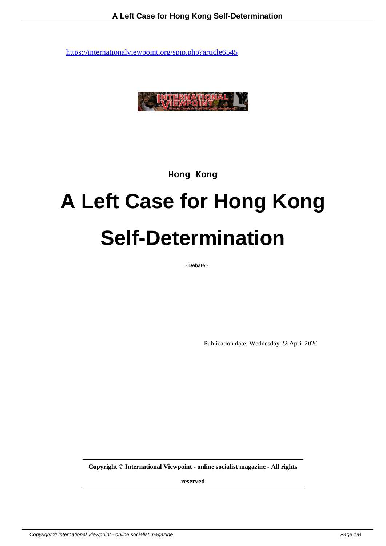

**Hong Kong**

# **A Left Case for Hong Kong Self-Determination**

- Debate -

Publication date: Wednesday 22 April 2020

**Copyright © International Viewpoint - online socialist magazine - All rights**

**reserved**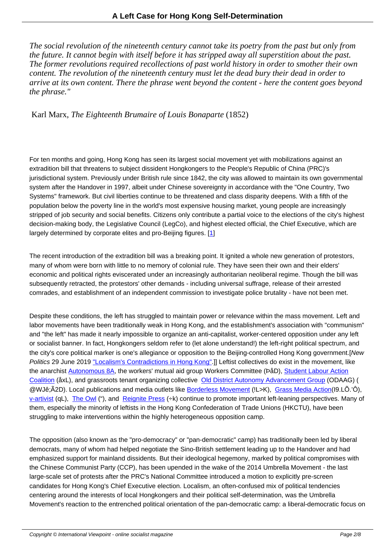*The social revolution of the nineteenth century cannot take its poetry from the past but only from the future. It cannot begin with itself before it has stripped away all superstition about the past. The former revolutions required recollections of past world history in order to smother their own content. The revolution of the nineteenth century must let the dead bury their dead in order to arrive at its own content. There the phrase went beyond the content - here the content goes beyond the phrase."*

Karl Marx, *The Eighteenth Brumaire of Louis Bonaparte* (1852)

For ten months and going, Hong Kong has seen its largest social movement yet with mobilizations against an extradition bill that threatens to subject dissident Hongkongers to the People's Republic of China (PRC)'s jurisdictional system. Previously under British rule since 1842, the city was allowed to maintain its own governmental system after the Handover in 1997, albeit under Chinese sovereignty in accordance with the "One Country, Two Systems" framework. But civil liberties continue to be threatened and class disparity deepens. With a fifth of the population below the poverty line in the world's most expensive housing market, young people are increasingly stripped of job security and social benefits. Citizens only contribute a partial voice to the elections of the city's highest decision-making body, the Legislative Council (LegCo), and highest elected official, the Chief Executive, which are largely determined by corporate elites and pro-Beijing figures. [1]

The recent introduction of the extradition bill was a breaking point. It ignited a whole new generation of protestors, many of whom were born with little to no memory of colonial ru[le](#nb1). They have seen their own and their elders' economic and political rights eviscerated under an increasingly authoritarian neoliberal regime. Though the bill was subsequently retracted, the protestors' other demands - including universal suffrage, release of their arrested comrades, and establishment of an independent commission to investigate police brutality - have not been met.

Despite these conditions, the left has struggled to maintain power or relevance within the mass movement. Left and labor movements have been traditionally weak in Hong Kong, and the establishment's association with "communism" and "the left" has made it nearly impossible to organize an anti-capitalist, worker-centered opposition under any left or socialist banner. In fact, Hongkongers seldom refer to (let alone understand!) the left-right political spectrum, and the city's core political marker is one's allegiance or opposition to the Beijing-controlled Hong Kong government.[New Politics 29 June 2019 "Localism's Contradictions in Hong Kong".]] Leftist collectives do exist in the movement, like the anarchist Autonomous 8A, the workers' mutual aid group Workers Committee (PåD), Student Labour Action Coalition (åxL), and grassroots tenant organizing collective Old District Autonomy Advancement Group (ODAAG) ( @WJê;Ã2D). Local publications and media outlets like Borderless Movement (!L>K), Grass Media Action(I9.LÕ.'Ô), v-artivist (qL), The Owl ("), and [Reignite Press \(÷k\) continue to](https://newpol.org/localisms-contradictions-in-hong-kong/) promote important left-leaning perspectives. Many of them, especi[ally the minority o](https://smrc8a.org/)f leftists in the Hong Kong Co[nfederation of Trade Unions \(](https://odaaghk.wordpress.com/)[HKCTU\), have been](https://www.facebook.com/StudentLabourActionCoalition/) [struggling](https://www.facebook.com/StudentLabourActionCoalition/) to make interventions within the highly heter[ogeneous opposition c](https://borderless-hk.com/)amp.

The opposition (also known as the "pro-democracy" or "pan-democratic" camp) has traditionally been led by liberal democrats, many of whom had helped negotiate the Sino-British settlement leading up to the Handover and had emphasized support for mainland dissidents. But their ideological hegemony, marked by political compromises with the Chinese Communist Party (CCP), has been upended in the wake of the 2014 Umbrella Movement - the last large-scale set of protests after the PRC's National Committee introduced a motion to explicitly pre-screen candidates for Hong Kong's Chief Executive election. Localism, an often-confused mix of political tendencies centering around the interests of local Hongkongers and their political self-determination, was the Umbrella Movement's reaction to the entrenched political orientation of the pan-democratic camp: a liberal-democratic focus on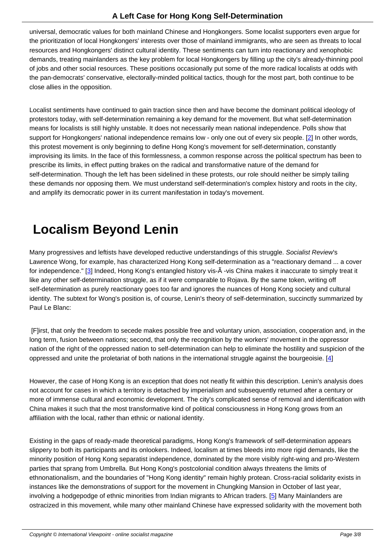universal, democratic values for both mainland Chinese and Hongkongers. Some localist supporters even argue for the prioritization of local Hongkongers' interests over those of mainland immigrants, who are seen as threats to local resources and Hongkongers' distinct cultural identity. These sentiments can turn into reactionary and xenophobic demands, treating mainlanders as the key problem for local Hongkongers by filling up the city's already-thinning pool of jobs and other social resources. These positions occasionally put some of the more radical localists at odds with the pan-democrats' conservative, electorally-minded political tactics, though for the most part, both continue to be close allies in the opposition.

Localist sentiments have continued to gain traction since then and have become the dominant political ideology of protestors today, with self-determination remaining a key demand for the movement. But what self-determination means for localists is still highly unstable. It does not necessarily mean national independence. Polls show that support for Hongkongers' national independence remains low - only one out of every six people. [2] In other words, this protest movement is only beginning to define Hong Kong's movement for self-determination, constantly improvising its limits. In the face of this formlessness, a common response across the political spectrum has been to prescribe its limits, in effect putting brakes on the radical and transformative nature of the demand for self-determination. Though the left has been sidelined in these protests, our role should neither b[e](#nb2) simply tailing these demands nor opposing them. We must understand self-determination's complex history and roots in the city, and amplify its democratic power in its current manifestation in today's movement.

#### **Localism Beyond Lenin**

Many progressives and leftists have developed reductive understandings of this struggle. Socialist Review's Lawrence Wong, for example, has characterized Hong Kong self-determination as a "reactionary demand ... a cover for independence." [3] Indeed, Hong Kong's entangled history vis-Ã -vis China makes it inaccurate to simply treat it like any other self-determination struggle, as if it were comparable to Rojava. By the same token, writing off self-determination as purely reactionary goes too far and ignores the nuances of Hong Kong society and cultural identity. The subtext [f](#nb3)or Wong's position is, of course, Lenin's theory of self-determination, succinctly summarized by Paul Le Blanc:

 [F]irst, that only the freedom to secede makes possible free and voluntary union, association, cooperation and, in the long term, fusion between nations; second, that only the recognition by the workers' movement in the oppressor nation of the right of the oppressed nation to self-determination can help to eliminate the hostility and suspicion of the oppressed and unite the proletariat of both nations in the international struggle against the bourgeoisie. [4]

However, the case of Hong Kong is an exception that does not neatly fit within this description. Lenin's analysis does not account for cases in which a territory is detached by imperialism and subsequently returned after a c[en](#nb4)tury or more of immense cultural and economic development. The city's complicated sense of removal and identification with China makes it such that the most transformative kind of political consciousness in Hong Kong grows from an affiliation with the local, rather than ethnic or national identity.

Existing in the gaps of ready-made theoretical paradigms, Hong Kong's framework of self-determination appears slippery to both its participants and its onlookers. Indeed, localism at times bleeds into more rigid demands, like the minority position of Hong Kong separatist independence, dominated by the more visibly right-wing and pro-Western parties that sprang from Umbrella. But Hong Kong's postcolonial condition always threatens the limits of ethnonationalism, and the boundaries of "Hong Kong identity" remain highly protean. Cross-racial solidarity exists in instances like the demonstrations of support for the movement in Chungking Mansion in October of last year, involving a hodgepodge of ethnic minorities from Indian migrants to African traders. [5] Many Mainlanders are ostracized in this movement, while many other mainland Chinese have expressed solidarity with the movement both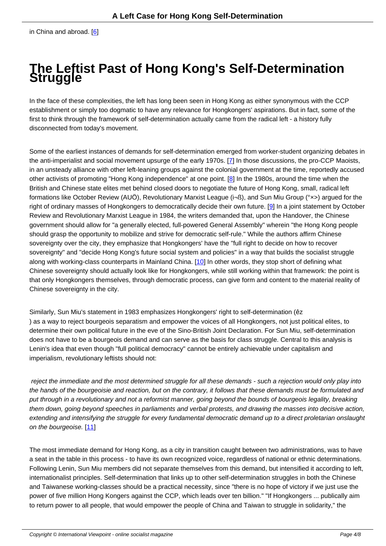## **The Leftis[t](#nb6) Past of Hong Kong's Self-Determination Struggle**

In the face of these complexities, the left has long been seen in Hong Kong as either synonymous with the CCP establishment or simply too dogmatic to have any relevance for Hongkongers' aspirations. But in fact, some of the first to think through the framework of self-determination actually came from the radical left - a history fully disconnected from today's movement.

Some of the earliest instances of demands for self-determination emerged from worker-student organizing debates in the anti-imperialist and social movement upsurge of the early 1970s. [7] In those discussions, the pro-CCP Maoists, in an unsteady alliance with other left-leaning groups against the colonial government at the time, reportedly accused other activists of promoting "Hong Kong independence" at one point. [8] In the 1980s, around the time when the British and Chinese state elites met behind closed doors to negotiate the future of Hong Kong, small, radical left formations like October Review (AUÖ), Revolutionary Marxist Leagu[e \(](#nb7)i¬ß), and Sun Miu Group (°×>) argued for the right of ordinary masses of Hongkongers to democratically decide the[ir](#nb8) own future. [9] In a joint statement by October Review and Revolutionary Marxist League in 1984, the writers demanded that, upon the Handover, the Chinese government should allow for "a generally elected, full-powered General Assembly" wherein "the Hong Kong people should grasp the opportunity to mobilize and strive for democratic self-rule." While the authors affirm Chinese sovereignty over the city, they emphasize that Hongkongers' have the "full right to d[ec](#nb9)ide on how to recover sovereignty" and "decide Hong Kong's future social system and policies" in a way that builds the socialist struggle along with working-class counterparts in Mainland China. [10] In other words, they stop short of defining what Chinese sovereignty should actually look like for Hongkongers, while still working within that framework: the point is that only Hongkongers themselves, through democratic process, can give form and content to the material reality of Chinese sovereignty in the city.

Similarly, Sun Miu's statement in 1983 emphasizes Hongkongers' right to self-determination (êz ) as a way to reject bourgeois separatism and empower the voices of all Hongkongers, not just political elites, to determine their own political future in the eve of the Sino-British Joint Declaration. For Sun Miu, self-determination does not have to be a bourgeois demand and can serve as the basis for class struggle. Central to this analysis is Lenin's idea that even though "full political democracy" cannot be entirely achievable under capitalism and imperialism, revolutionary leftists should not:

 reject the immediate and the most determined struggle for all these demands - such a rejection would only play into the hands of the bourgeoisie and reaction, but on the contrary, it follows that these demands must be formulated and put through in a revolutionary and not a reformist manner, going beyond the bounds of bourgeois legality, breaking them down, going beyond speeches in parliaments and verbal protests, and drawing the masses into decisive action, extending and intensifying the struggle for every fundamental democratic demand up to a direct proletarian onslaught on the bourgeoise. [11]

The most immediate demand for Hong Kong, as a city in transition caught between two administrations, was to have a seat in the table i[n th](#nb11)is process - to have its own recognized voice, regardless of national or ethnic determinations. Following Lenin, Sun Miu members did not separate themselves from this demand, but intensified it according to left, internationalist principles. Self-determination that links up to other self-determination struggles in both the Chinese and Taiwanese working-classes should be a practical necessity, since "there is no hope of victory if we just use the power of five million Hong Kongers against the CCP, which leads over ten billion." "If Hongkongers ... publically aim to return power to all people, that would empower the people of China and Taiwan to struggle in solidarity," the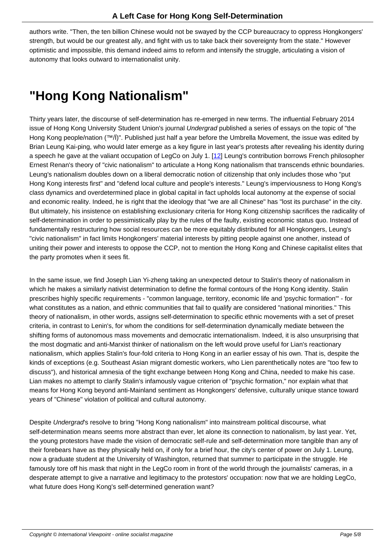authors write. "Then, the ten billion Chinese would not be swayed by the CCP bureaucracy to oppress Hongkongers' strength, but would be our greatest ally, and fight with us to take back their sovereignty from the state." However optimistic and impossible, this demand indeed aims to reform and intensify the struggle, articulating a vision of autonomy that looks outward to internationalist unity.

### **"Hong Kong Nationalism"**

Thirty years later, the discourse of self-determination has re-emerged in new terms. The influential February 2014 issue of Hong Kong University Student Union's journal Undergrad published a series of essays on the topic of "the Hong Kong people/nation (™/Ï)". Published just half a year before the Umbrella Movement, the issue was edited by Brian Leung Kai-ping, who would later emerge as a key figure in last year's protests after revealing his identity during a speech he gave at the valiant occupation of LegCo on July 1. [12] Leung's contribution borrows French philosopher Ernest Renan's theory of "civic nationalism" to articulate a Hong Kong nationalism that transcends ethnic boundaries. Leung's nationalism doubles down on a liberal democratic notion of citizenship that only includes those who "put Hong Kong interests first" and "defend local culture and people's interests." Leung's imperviousness to Hong Kong's class dynamics and overdetermined place in global capital in fa[ct u](#nb12)pholds local autonomy at the expense of social and economic reality. Indeed, he is right that the ideology that "we are all Chinese" has "lost its purchase" in the city. But ultimately, his insistence on establishing exclusionary criteria for Hong Kong citizenship sacrifices the radicality of self-determination in order to pessimistically play by the rules of the faulty, existing economic status quo. Instead of fundamentally restructuring how social resources can be more equitably distributed for all Hongkongers, Leung's "civic nationalism" in fact limits Hongkongers' material interests by pitting people against one another, instead of uniting their power and interests to oppose the CCP, not to mention the Hong Kong and Chinese capitalist elites that the party promotes when it sees fit.

In the same issue, we find Joseph Lian Yi-zheng taking an unexpected detour to Stalin's theory of nationalism in which he makes a similarly nativist determination to define the formal contours of the Hong Kong identity. Stalin prescribes highly specific requirements - "common language, territory, economic life and 'psychic formation'" - for what constitutes as a nation, and ethnic communities that fail to qualify are considered "national minorities." This theory of nationalism, in other words, assigns self-determination to specific ethnic movements with a set of preset criteria, in contrast to Lenin's, for whom the conditions for self-determination dynamically mediate between the shifting forms of autonomous mass movements and democratic internationalism. Indeed, it is also unsurprising that the most dogmatic and anti-Marxist thinker of nationalism on the left would prove useful for Lian's reactionary nationalism, which applies Stalin's four-fold criteria to Hong Kong in an earlier essay of his own. That is, despite the kinds of exceptions (e.g. Southeast Asian migrant domestic workers, who Lien parenthetically notes are "too few to discuss"), and historical amnesia of the tight exchange between Hong Kong and China, needed to make his case. Lian makes no attempt to clarify Stalin's infamously vague criterion of "psychic formation," nor explain what that means for Hong Kong beyond anti-Mainland sentiment as Hongkongers' defensive, culturally unique stance toward years of "Chinese" violation of political and cultural autonomy.

Despite Undergrad's resolve to bring "Hong Kong nationalism" into mainstream political discourse, what self-determination means seems more abstract than ever, let alone its connection to nationalism, by last year. Yet, the young protestors have made the vision of democratic self-rule and self-determination more tangible than any of their forebears have as they physically held on, if only for a brief hour, the city's center of power on July 1. Leung, now a graduate student at the University of Washington, returned that summer to participate in the struggle. He famously tore off his mask that night in the LegCo room in front of the world through the journalists' cameras, in a desperate attempt to give a narrative and legitimacy to the protestors' occupation: now that we are holding LegCo, what future does Hong Kong's self-determined generation want?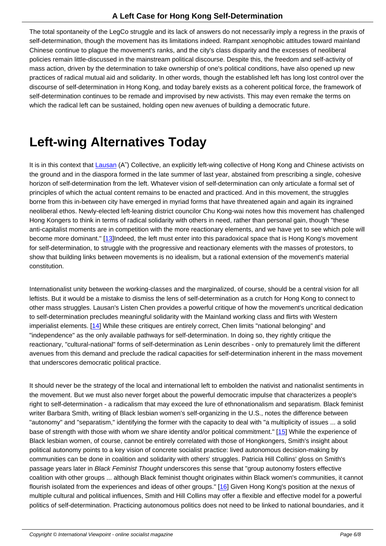The total spontaneity of the LegCo struggle and its lack of answers do not necessarily imply a regress in the praxis of self-determination, though the movement has its limitations indeed. Rampant xenophobic attitudes toward mainland Chinese continue to plague the movement's ranks, and the city's class disparity and the excesses of neoliberal policies remain little-discussed in the mainstream political discourse. Despite this, the freedom and self-activity of mass action, driven by the determination to take ownership of one's political conditions, have also opened up new practices of radical mutual aid and solidarity. In other words, though the established left has long lost control over the discourse of self-determination in Hong Kong, and today barely exists as a coherent political force, the framework of self-determination continues to be remade and improvised by new activists. This may even remake the terms on which the radical left can be sustained, holding open new avenues of building a democratic future.

#### **Left-wing Alternatives Today**

It is in this context that Lausan (A~) Collective, an explicitly left-wing collective of Hong Kong and Chinese activists on the ground and in the diaspora formed in the late summer of last year, abstained from prescribing a single, cohesive horizon of self-determination from the left. Whatever vision of self-determination can only articulate a formal set of principles of which the actual content remains to be enacted and practiced. And in this movement, the struggles borne from this in-bet[ween city](https://lausan.hk/about/) have emerged in myriad forms that have threatened again and again its ingrained neoliberal ethos. Newly-elected left-leaning district councilor Chu Kong-wai notes how this movement has challenged Hong Kongers to think in terms of radical solidarity with others in need, rather than personal gain, though "these anti-capitalist moments are in competition with the more reactionary elements, and we have yet to see which pole will become more dominant." [13]Indeed, the left must enter into this paradoxical space that is Hong Kong's movement for self-determination, to struggle with the progressive and reactionary elements with the masses of protestors, to show that building links between movements is no idealism, but a rational extension of the movement's material constitution.

Internationalist unity between the working-classes and the marginalized, of course, should be a central vision for all leftists. But it would be a mistake to dismiss the lens of self-determination as a crutch for Hong Kong to connect to other mass struggles. Lausan's Listen Chen provides a powerful critique of how the movement's uncritical dedication to self-determination precludes meaningful solidarity with the Mainland working class and flirts with Western imperialist elements. [14] While these critiques are entirely correct, Chen limits "national belonging" and "independence" as the only available pathways for self-determination. In doing so, they rightly critique the reactionary, "cultural-national" forms of self-determination as Lenin describes - only to prematurely limit the different avenues from this demand and preclude the radical capacities for self-determination inherent in the mass movement that underscores de[mocr](#nb14)atic political practice.

It should never be the strategy of the local and international left to embolden the nativist and nationalist sentiments in the movement. But we must also never forget about the powerful democratic impulse that characterizes a people's right to self-determination - a radicalism that may exceed the lure of ethnonationalism and separatism. Black feminist writer Barbara Smith, writing of Black lesbian women's self-organizing in the U.S., notes the difference between "autonomy" and "separatism," identifying the former with the capacity to deal with "a multiplicity of issues ... a solid base of strength with those with whom we share identity and/or political commitment." [15] While the experience of Black lesbian women, of course, cannot be entirely correlated with those of Hongkongers, Smith's insight about political autonomy points to a key vision of concrete socialist practice: lived autonomous decision-making by communities can be done in coalition and solidarity with others' struggles. Patricia Hill Collins' gloss on Smith's passage years later in Black Feminist Thought underscores this sense that "group aut[ono](#nb15)my fosters effective coalition with other groups ... although Black feminist thought originates within Black women's communities, it cannot flourish isolated from the experiences and ideas of other groups." [16] Given Hong Kong's position at the nexus of multiple cultural and political influences, Smith and Hill Collins may offer a flexible and effective model for a powerful politics of self-determination. Practicing autonomous politics does not need to be linked to national boundaries, and it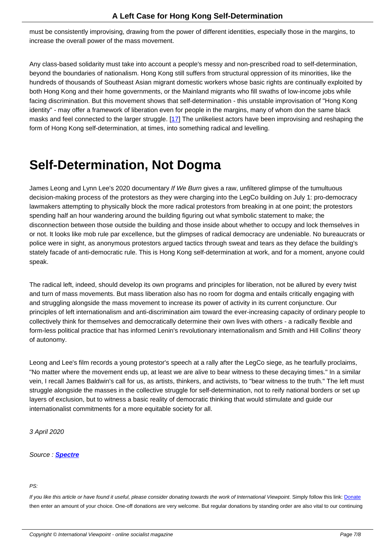must be consistently improvising, drawing from the power of different identities, especially those in the margins, to increase the overall power of the mass movement.

Any class-based solidarity must take into account a people's messy and non-prescribed road to self-determination, beyond the boundaries of nationalism. Hong Kong still suffers from structural oppression of its minorities, like the hundreds of thousands of Southeast Asian migrant domestic workers whose basic rights are continually exploited by both Hong Kong and their home governments, or the Mainland migrants who fill swaths of low-income jobs while facing discrimination. But this movement shows that self-determination - this unstable improvisation of "Hong Kong identity" - may offer a framework of liberation even for people in the margins, many of whom don the same black masks and feel connected to the larger struggle. [17] The unlikeliest actors have been improvising and reshaping the form of Hong Kong self-determination, at times, into something radical and levelling.

#### **Self-Determination, Not Dogma**

James Leong and Lynn Lee's 2020 documentary If We Burn gives a raw, unfiltered glimpse of the tumultuous decision-making process of the protestors as they were charging into the LegCo building on July 1: pro-democracy lawmakers attempting to physically block the more radical protestors from breaking in at one point; the protestors spending half an hour wandering around the building figuring out what symbolic statement to make; the disconnection between those outside the building and those inside about whether to occupy and lock themselves in or not. It looks like mob rule par excellence, but the glimpses of radical democracy are undeniable. No bureaucrats or police were in sight, as anonymous protestors argued tactics through sweat and tears as they deface the building's stately facade of anti-democratic rule. This is Hong Kong self-determination at work, and for a moment, anyone could speak.

The radical left, indeed, should develop its own programs and principles for liberation, not be allured by every twist and turn of mass movements. But mass liberation also has no room for dogma and entails critically engaging with and struggling alongside the mass movement to increase its power of activity in its current conjuncture. Our principles of left internationalism and anti-discrimination aim toward the ever-increasing capacity of ordinary people to collectively think for themselves and democratically determine their own lives with others - a radically flexible and form-less political practice that has informed Lenin's revolutionary internationalism and Smith and Hill Collins' theory of autonomy.

Leong and Lee's film records a young protestor's speech at a rally after the LegCo siege, as he tearfully proclaims, "No matter where the movement ends up, at least we are alive to bear witness to these decaying times." In a similar vein, I recall James Baldwin's call for us, as artists, thinkers, and activists, to "bear witness to the truth." The left must struggle alongside the masses in the collective struggle for self-determination, not to reify national borders or set up layers of exclusion, but to witness a basic reality of democratic thinking that would stimulate and guide our internationalist commitments for a more equitable society for all.

3 April 2020

Source : **Spectre**

#### PS:

If you like this article or have found it useful, please consider donating towards the work of International Viewpoint. Simply follow this link: Donate then enter an amount of your choice. One-off donations are very welcome. But regular donations by standing order are also vital to our continuing